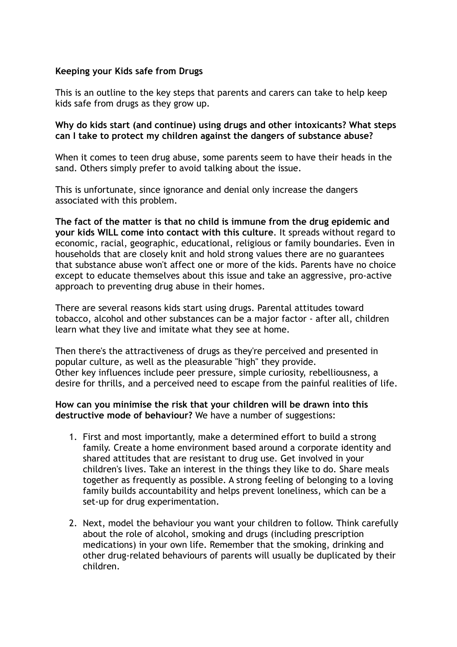## **Keeping your Kids safe from Drugs**

This is an outline to the key steps that parents and carers can take to help keep kids safe from drugs as they grow up.

## **Why do kids start (and continue) using drugs and other intoxicants? What steps can I take to protect my children against the dangers of substance abuse?**

When it comes to teen drug abuse, some parents seem to have their heads in the sand. Others simply prefer to avoid talking about the issue.

This is unfortunate, since ignorance and denial only increase the dangers associated with this problem.

**The fact of the matter is that no child is immune from the drug epidemic and your kids WILL come into contact with this culture**. It spreads without regard to economic, racial, geographic, educational, religious or family boundaries. Even in households that are closely knit and hold strong values there are no guarantees that substance abuse won't affect one or more of the kids. Parents have no choice except to educate themselves about this issue and take an aggressive, pro-active approach to preventing drug abuse in their homes.

There are several reasons kids start using drugs. Parental attitudes toward tobacco, alcohol and other substances can be a major factor - after all, children learn what they live and imitate what they see at home.

Then there's the attractiveness of drugs as they're perceived and presented in popular culture, as well as the pleasurable "high" they provide. Other key influences include peer pressure, simple curiosity, rebelliousness, a desire for thrills, and a perceived need to escape from the painful realities of life.

**How can you minimise the risk that your children will be drawn into this destructive mode of behaviour?** We have a number of suggestions:

- 1. First and most importantly, make a determined effort to build a strong family. Create a home environment based around a corporate identity and shared attitudes that are resistant to drug use. Get involved in your children's lives. Take an interest in the things they like to do. Share meals together as frequently as possible. A strong feeling of belonging to a loving family builds accountability and helps prevent loneliness, which can be a set-up for drug experimentation.
- 2. Next, model the behaviour you want your children to follow. Think carefully about the role of alcohol, smoking and drugs (including prescription medications) in your own life. Remember that the smoking, drinking and other drug-related behaviours of parents will usually be duplicated by their children.